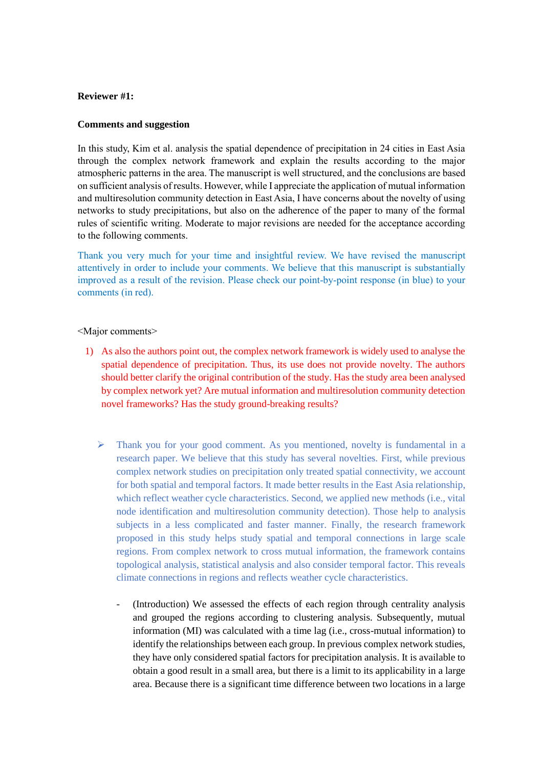# **Reviewer #1:**

## **Comments and suggestion**

In this study, Kim et al. analysis the spatial dependence of precipitation in 24 cities in East Asia through the complex network framework and explain the results according to the major atmospheric patterns in the area. The manuscript is well structured, and the conclusions are based on sufficient analysis of results. However, while I appreciate the application of mutual information and multiresolution community detection in East Asia, I have concerns about the novelty of using networks to study precipitations, but also on the adherence of the paper to many of the formal rules of scientific writing. Moderate to major revisions are needed for the acceptance according to the following comments.

Thank you very much for your time and insightful review. We have revised the manuscript attentively in order to include your comments. We believe that this manuscript is substantially improved as a result of the revision. Please check our point-by-point response (in blue) to your comments (in red).

### <Major comments>

- 1) As also the authors point out, the complex network framework is widely used to analyse the spatial dependence of precipitation. Thus, its use does not provide novelty. The authors should better clarify the original contribution of the study. Has the study area been analysed by complex network yet? Are mutual information and multiresolution community detection novel frameworks? Has the study ground-breaking results?
	- $\triangleright$  Thank you for your good comment. As you mentioned, novelty is fundamental in a research paper. We believe that this study has several novelties. First, while previous complex network studies on precipitation only treated spatial connectivity, we account for both spatial and temporal factors. It made better results in the East Asia relationship, which reflect weather cycle characteristics. Second, we applied new methods (i.e., vital node identification and multiresolution community detection). Those help to analysis subjects in a less complicated and faster manner. Finally, the research framework proposed in this study helps study spatial and temporal connections in large scale regions. From complex network to cross mutual information, the framework contains topological analysis, statistical analysis and also consider temporal factor. This reveals climate connections in regions and reflects weather cycle characteristics.
		- (Introduction) We assessed the effects of each region through centrality analysis and grouped the regions according to clustering analysis. Subsequently, mutual information (MI) was calculated with a time lag (i.e., cross-mutual information) to identify the relationships between each group. In previous complex network studies, they have only considered spatial factors for precipitation analysis. It is available to obtain a good result in a small area, but there is a limit to its applicability in a large area. Because there is a significant time difference between two locations in a large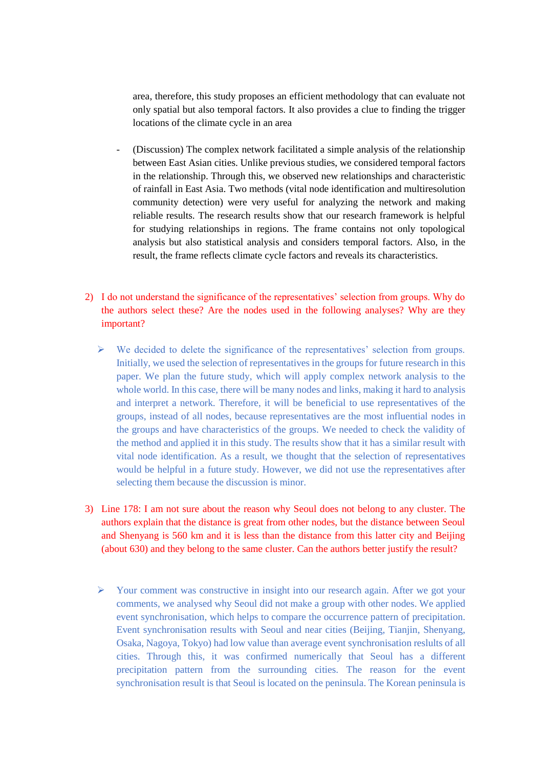area, therefore, this study proposes an efficient methodology that can evaluate not only spatial but also temporal factors. It also provides a clue to finding the trigger locations of the climate cycle in an area

- (Discussion) The complex network facilitated a simple analysis of the relationship between East Asian cities. Unlike previous studies, we considered temporal factors in the relationship. Through this, we observed new relationships and characteristic of rainfall in East Asia. Two methods (vital node identification and multiresolution community detection) were very useful for analyzing the network and making reliable results. The research results show that our research framework is helpful for studying relationships in regions. The frame contains not only topological analysis but also statistical analysis and considers temporal factors. Also, in the result, the frame reflects climate cycle factors and reveals its characteristics.
- 2) I do not understand the significance of the representatives' selection from groups. Why do the authors select these? Are the nodes used in the following analyses? Why are they important?
	- $\triangleright$  We decided to delete the significance of the representatives' selection from groups. Initially, we used the selection of representatives in the groups for future research in this paper. We plan the future study, which will apply complex network analysis to the whole world. In this case, there will be many nodes and links, making it hard to analysis and interpret a network. Therefore, it will be beneficial to use representatives of the groups, instead of all nodes, because representatives are the most influential nodes in the groups and have characteristics of the groups. We needed to check the validity of the method and applied it in this study. The results show that it has a similar result with vital node identification. As a result, we thought that the selection of representatives would be helpful in a future study. However, we did not use the representatives after selecting them because the discussion is minor.
- 3) Line 178: I am not sure about the reason why Seoul does not belong to any cluster. The authors explain that the distance is great from other nodes, but the distance between Seoul and Shenyang is 560 km and it is less than the distance from this latter city and Beijing (about 630) and they belong to the same cluster. Can the authors better justify the result?
	- $\triangleright$  Your comment was constructive in insight into our research again. After we got your comments, we analysed why Seoul did not make a group with other nodes. We applied event synchronisation, which helps to compare the occurrence pattern of precipitation. Event synchronisation results with Seoul and near cities (Beijing, Tianjin, Shenyang, Osaka, Nagoya, Tokyo) had low value than average event synchronisation reslults of all cities. Through this, it was confirmed numerically that Seoul has a different precipitation pattern from the surrounding cities. The reason for the event synchronisation result is that Seoul is located on the peninsula. The Korean peninsula is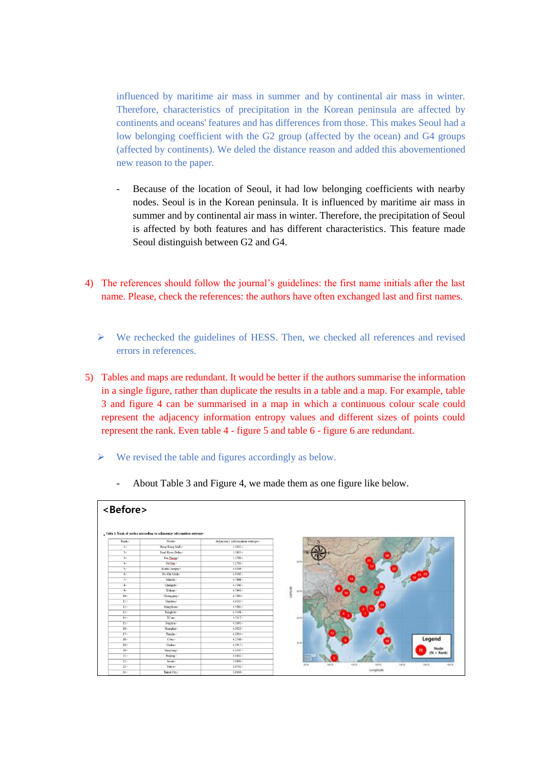influenced by maritime air mass in summer and by continental air mass in winter. Therefore, characteristics of precipitation in the Korean peninsula are affected by continents and oceans' features and has differences from those. This makes Seoul had a low belonging coefficient with the G2 group (affected by the ocean) and G4 groups (affected by continents). We deled the distance reason and added this abovementioned new reason to the paper.

- Because of the location of Seoul, it had low belonging coefficients with nearby nodes. Seoul is in the Korean peninsula. It is influenced by maritime air mass in summer and by continental air mass in winter. Therefore, the precipitation of Seoul is affected by both features and has different characteristics. This feature made Seoul distinguish between G2 and G4.
- 4) The references should follow the journal's guidelines: the first name initials after the last name. Please, check the references: the authors have often exchanged last and first names.
	- $\triangleright$  We rechecked the guidelines of HESS. Then, we checked all references and revised errors in references.
- 5) Tables and maps are redundant. It would be better if the authors summarise the information in a single figure, rather than duplicate the results in a table and a map. For example, table 3 and figure 4 can be summarised in a map in which a continuous colour scale could represent the adjacency information entropy values and different sizes of points could represent the rank. Even table 4 - figure 5 and table 6 - figure 6 are redundant.
	- $\triangleright$  We revised the table and figures accordingly as below.



- About Table 3 and Figure 4, we made them as one figure like below.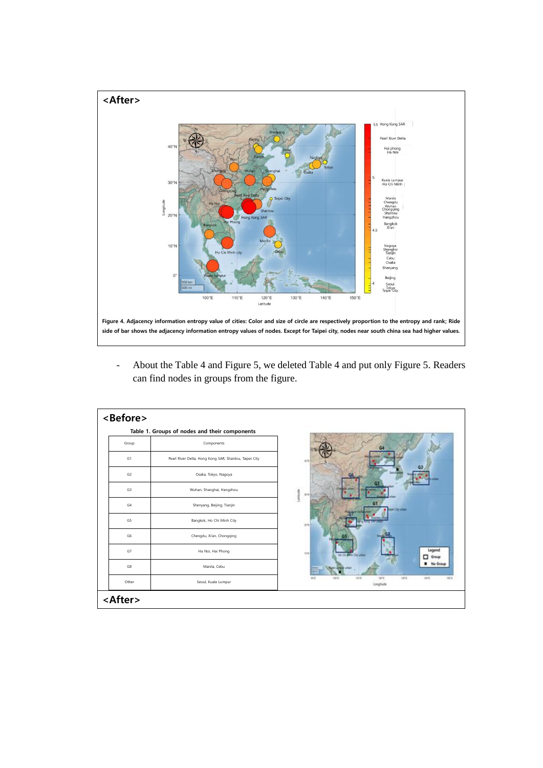

- About the Table 4 and Figure 5, we deleted Table 4 and put only Figure 5. Readers can find nodes in groups from the figure.

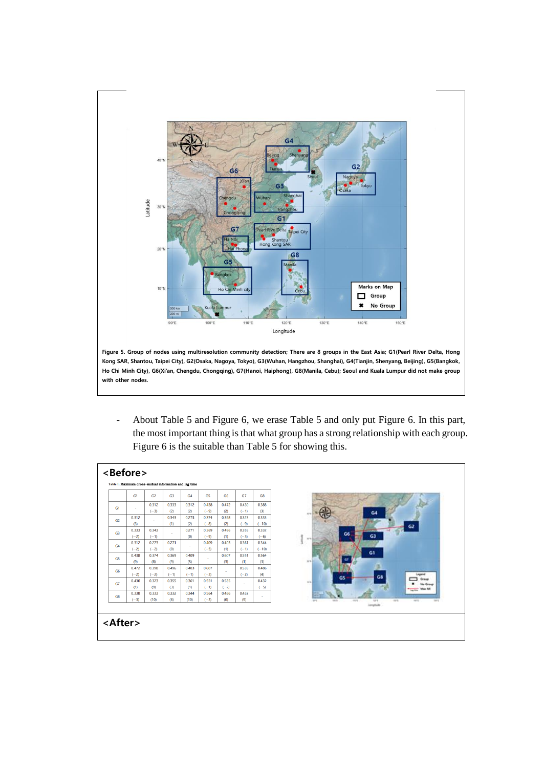

- About Table 5 and Figure 6, we erase Table 5 and only put Figure 6. In this part, the most important thing is that what group has a strong relationship with each group. Figure 6 is the suitable than Table 5 for showing this.

|                | G <sub>1</sub> | G <sub>2</sub> | G <sub>3</sub>                                                  | G <sub>4</sub> | G <sub>5</sub> | G <sub>6</sub>               | G7     | G8      |
|----------------|----------------|----------------|-----------------------------------------------------------------|----------------|----------------|------------------------------|--------|---------|
| G1             | $\sim$         | 0.312          | 0.333                                                           | 0.312          | 0.438          | 0.472                        | 0.430  | 0.388   |
|                |                | $(-3)$         | (2)                                                             | (2)            | $(-9)$         | (2)                          | $(-1)$ | (3)     |
| G2             | 0.312          | ٠              | 0.343                                                           | 0.273          | 0.374          | 0.398                        | 0.323  | 0.333   |
|                | (3)            |                | (1)                                                             | (2)            | $(-8)$         | (2)                          | $(-9)$ | $(-10)$ |
| G3             | 0.333          | 0.343          | 0.271<br>0.369<br>0.496<br>0.355<br>0.332<br>$\sim$<br>66<br>G3 |                |                |                              |        |         |
|                | $(-2)$         | $(-1)$         | (0)                                                             |                | $(-9)$         | (1)                          | $(-3)$ | $(-6)$  |
| G4             | 0.312          | 0.273          | 0.271                                                           | $\sim$         | 0.409          | 0.403                        | 0.361  | 0.344   |
|                | $(-2)$         | $(-2)$         | (0)                                                             |                | $(-5)$         | (1)                          | $(-1)$ | $(-10)$ |
| G <sub>5</sub> | 0.438          | 0.374          | 0.369                                                           | 0.409          | ×.             | 0.607                        | 0.551  | 0.564   |
|                | (9)            | (8)            | (9)                                                             | (5)            |                | (3)                          | (1)    | (3)     |
| G <sub>6</sub> | 0.472          | 0.398          | 0.496                                                           | 0.403          | 0.607          | ×.                           | 0.535  | 0.486   |
|                | $(-2)$         | $(-2)$         | $(-1)$                                                          | $(-1)$         | $(-3)$         |                              | $(-2)$ | (4)     |
| G7             | 0.430          | 0.323          | 0.355                                                           | 0.361          | 0.551          | G5<br>0.432<br>0.535<br>$-1$ |        |         |
|                | (1)            | (9)            | (3)                                                             | (1)            | $(-1)$         | $(-2)$                       | $\sim$ | $(-5)$  |
|                | 0.338          | 0.333          | 0.332                                                           | 0.344          | 0.564          | 0.486                        | 0.432  |         |
| G8             | $(-3)$         | (10)           | (6)                                                             | (10)           | $(-3)$         | (6)                          | (5)    | ٠       |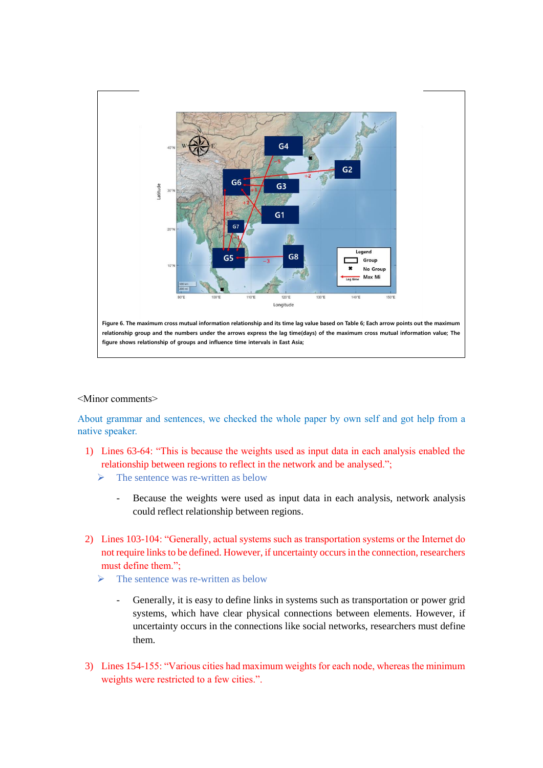

#### <Minor comments>

About grammar and sentences, we checked the whole paper by own self and got help from a native speaker.

- 1) Lines 63-64: "This is because the weights used as input data in each analysis enabled the relationship between regions to reflect in the network and be analysed.";
	- $\triangleright$  The sentence was re-written as below
		- Because the weights were used as input data in each analysis, network analysis could reflect relationship between regions.
- 2) Lines 103-104: "Generally, actual systems such as transportation systems or the Internet do not require links to be defined. However, if uncertainty occurs in the connection, researchers must define them.";
	- $\triangleright$  The sentence was re-written as below
		- Generally, it is easy to define links in systems such as transportation or power grid systems, which have clear physical connections between elements. However, if uncertainty occurs in the connections like social networks, researchers must define them.
- 3) Lines 154-155: "Various cities had maximum weights for each node, whereas the minimum weights were restricted to a few cities.".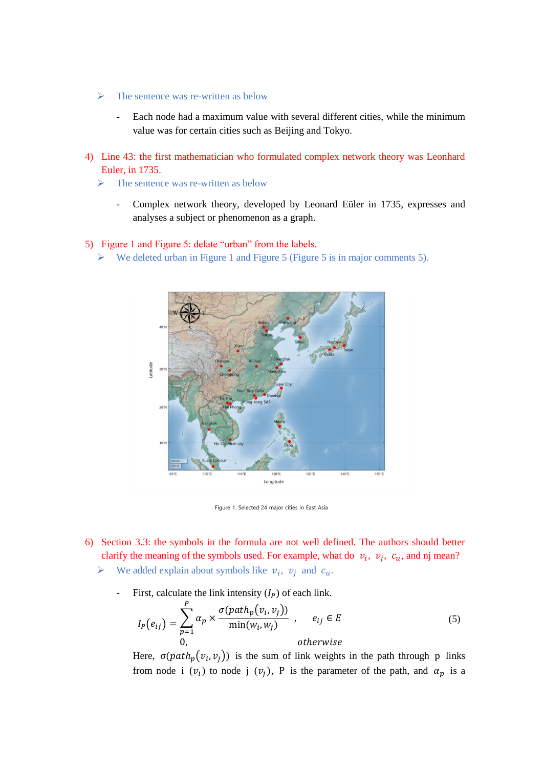- $\triangleright$  The sentence was re-written as below
	- Each node had a maximum value with several different cities, while the minimum value was for certain cities such as Beijing and Tokyo.
- 4) Line 43: the first mathematician who formulated complex network theory was Leonhard Euler, in 1735.
	- $\triangleright$  The sentence was re-written as below
		- Complex network theory, developed by Leonard Eüler in 1735, expresses and analyses a subject or phenomenon as a graph.

## 5) Figure 1 and Figure 5: delate "urban" from the labels.

 $\triangleright$  We deleted urban in Figure 1 and Figure 5 (Figure 5 is in major comments 5).



Figure 1. Selected 24 major cities in East Asia

- 6) Section 3.3: the symbols in the formula are not well defined. The authors should better clarify the meaning of the symbols used. For example, what do  $v_i$ ,  $v_j$ ,  $c_u$ , and nj mean?
	- $\triangleright$  We added explain about symbols like  $v_i$ ,  $v_j$  and  $c_u$ .
		- First, calculate the link intensity  $(I_P)$  of each link.

$$
I_P(e_{ij}) = \sum_{p=1}^P \alpha_p \times \frac{\sigma(path_p(v_i, v_j))}{\min(w_i, w_j)} , \quad e_{ij} \in E
$$
  
0, otherwise (5)

Here,  $\sigma(path_p(v_i, v_j))$  is the sum of link weights in the path through p links from node i  $(v_i)$  to node j  $(v_j)$ , P is the parameter of the path, and  $\alpha_p$  is a